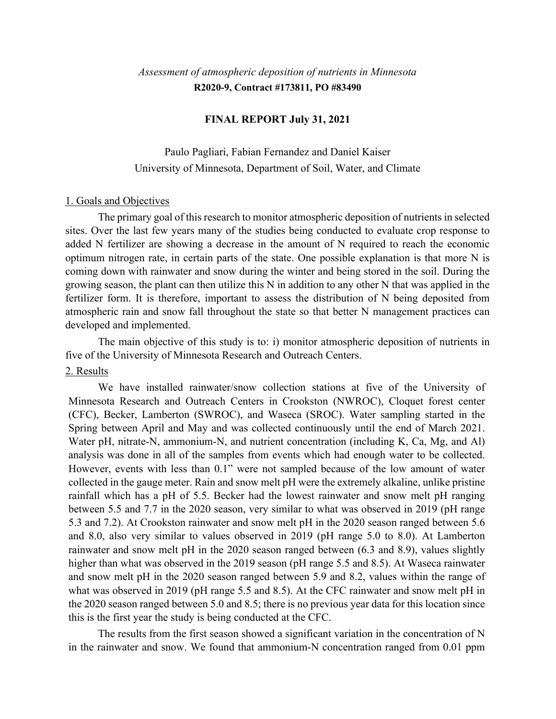# *Assessment of atmospheric deposition of nutrients in Minnesota* **R2020-9, Contract #173811, PO #83490**

# **FINAL REPORT July 31, 2021**

Paulo Pagliari, Fabian Fernandez and Daniel Kaiser University of Minnesota, Department of Soil, Water, and Climate

#### 1. Goals and Objectives

The primary goal of this research to monitor atmospheric deposition of nutrients in selected sites. Over the last few years many of the studies being conducted to evaluate crop response to added N fertilizer are showing a decrease in the amount of N required to reach the economic optimum nitrogen rate, in certain parts of the state. One possible explanation is that more N is coming down with rainwater and snow during the winter and being stored in the soil. During the growing season, the plant can then utilize this N in addition to any other N that was applied in the fertilizer form. It is therefore, important to assess the distribution of N being deposited from atmospheric rain and snow fall throughout the state so that better N management practices can developed and implemented.

The main objective of this study is to: i) monitor atmospheric deposition of nutrients in five of the University of Minnesota Research and Outreach Centers.

### 2. Results

We have installed rainwater/snow collection stations at five of the University of Minnesota Research and Outreach Centers in Crookston (NWROC), Cloquet forest center (CFC), Becker, Lamberton (SWROC), and Waseca (SROC). Water sampling started in the Spring between April and May and was collected continuously until the end of March 2021. Water pH, nitrate-N, ammonium-N, and nutrient concentration (including K, Ca, Mg, and Al) analysis was done in all of the samples from events which had enough water to be collected. However, events with less than 0.1" were not sampled because of the low amount of water collected in the gauge meter. Rain and snow melt pH were the extremely alkaline, unlike pristine rainfall which has a pH of 5.5. Becker had the lowest rainwater and snow melt pH ranging between 5.5 and 7.7 in the 2020 season, very similar to what was observed in 2019 (pH range 5.3 and 7.2). At Crookston rainwater and snow melt pH in the 2020 season ranged between 5.6 and 8.0, also very similar to values observed in 2019 (pH range 5.0 to 8.0). At Lamberton rainwater and snow melt pH in the 2020 season ranged between (6.3 and 8.9), values slightly higher than what was observed in the 2019 season (pH range 5.5 and 8.5). At Waseca rainwater and snow melt pH in the 2020 season ranged between 5.9 and 8.2, values within the range of what was observed in 2019 (pH range 5.5 and 8.5). At the CFC rainwater and snow melt pH in the 2020 season ranged between 5.0 and 8.5; there is no previous year data for this location since this is the first year the study is being conducted at the CFC.

The results from the first season showed a significant variation in the concentration of N in the rainwater and snow. We found that ammonium-N concentration ranged from 0.01 ppm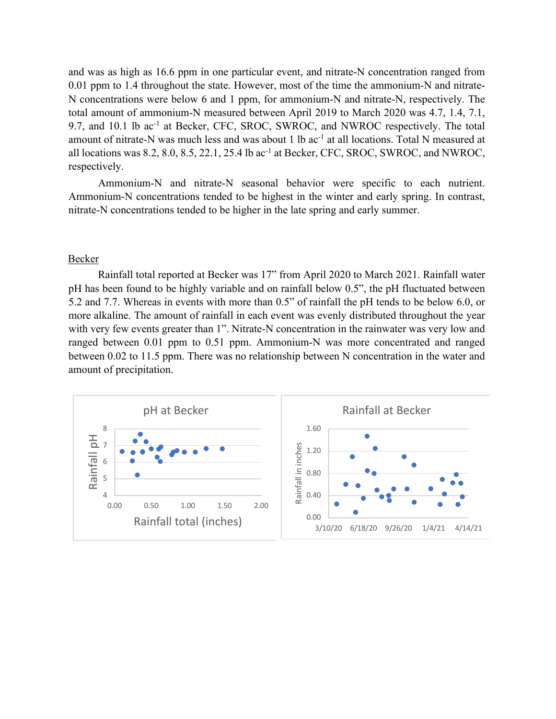and was as high as 16.6 ppm in one particular event, and nitrate-N concentration ranged from 0.01 ppm to 1.4 throughout the state. However, most of the time the ammonium-N and nitrate-N concentrations were below 6 and 1 ppm, for ammonium-N and nitrate-N, respectively. The total amount of ammonium-N measured between April 2019 to March 2020 was 4.7, 1.4, 7.1, 9.7, and 10.1 lb ac<sup>-1</sup> at Becker, CFC, SROC, SWROC, and NWROC respectively. The total amount of nitrate-N was much less and was about 1 lb ac<sup>-1</sup> at all locations. Total N measured at all locations was 8.2, 8.0, 8.5, 22.1, 25.4 lb  $ac^{-1}$  at Becker, CFC, SROC, SWROC, and NWROC, respectively.

Ammonium-N and nitrate-N seasonal behavior were specific to each nutrient. Ammonium-N concentrations tended to be highest in the winter and early spring. In contrast, nitrate-N concentrations tended to be higher in the late spring and early summer.

#### Becker

Rainfall total reported at Becker was 17" from April 2020 to March 2021. Rainfall water pH has been found to be highly variable and on rainfall below 0.5", the pH fluctuated between 5.2 and 7.7. Whereas in events with more than 0.5" of rainfall the pH tends to be below 6.0, or more alkaline. The amount of rainfall in each event was evenly distributed throughout the year with very few events greater than 1". Nitrate-N concentration in the rainwater was very low and ranged between 0.01 ppm to 0.51 ppm. Ammonium-N was more concentrated and ranged between 0.02 to 11.5 ppm. There was no relationship between N concentration in the water and amount of precipitation.

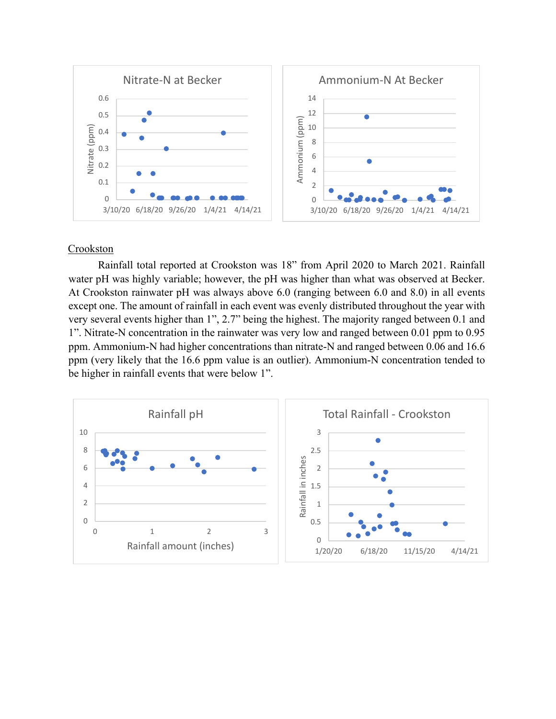

# **Crookston**

Rainfall total reported at Crookston was 18" from April 2020 to March 2021. Rainfall water pH was highly variable; however, the pH was higher than what was observed at Becker. At Crookston rainwater pH was always above 6.0 (ranging between 6.0 and 8.0) in all events except one. The amount of rainfall in each event was evenly distributed throughout the year with very several events higher than 1", 2.7" being the highest. The majority ranged between 0.1 and 1". Nitrate-N concentration in the rainwater was very low and ranged between 0.01 ppm to 0.95 ppm. Ammonium-N had higher concentrations than nitrate-N and ranged between 0.06 and 16.6 ppm (very likely that the 16.6 ppm value is an outlier). Ammonium-N concentration tended to be higher in rainfall events that were below 1".

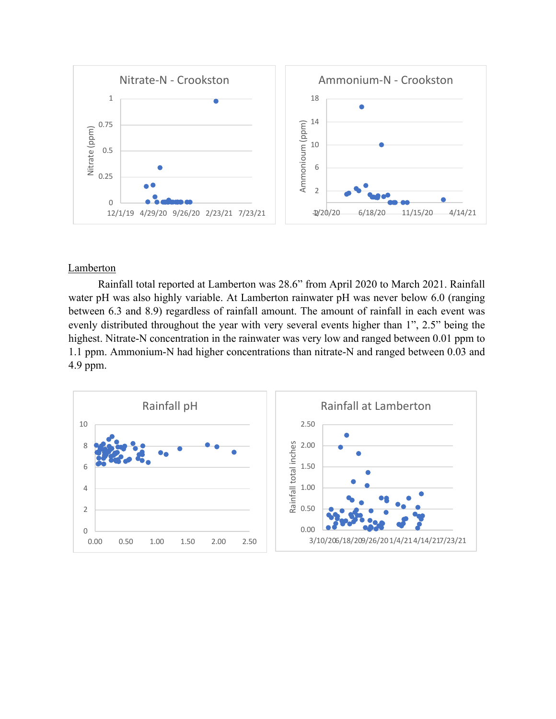

#### **Lamberton**

Rainfall total reported at Lamberton was 28.6" from April 2020 to March 2021. Rainfall water pH was also highly variable. At Lamberton rainwater pH was never below 6.0 (ranging between 6.3 and 8.9) regardless of rainfall amount. The amount of rainfall in each event was evenly distributed throughout the year with very several events higher than 1", 2.5" being the highest. Nitrate-N concentration in the rainwater was very low and ranged between 0.01 ppm to 1.1 ppm. Ammonium-N had higher concentrations than nitrate-N and ranged between 0.03 and 4.9 ppm.

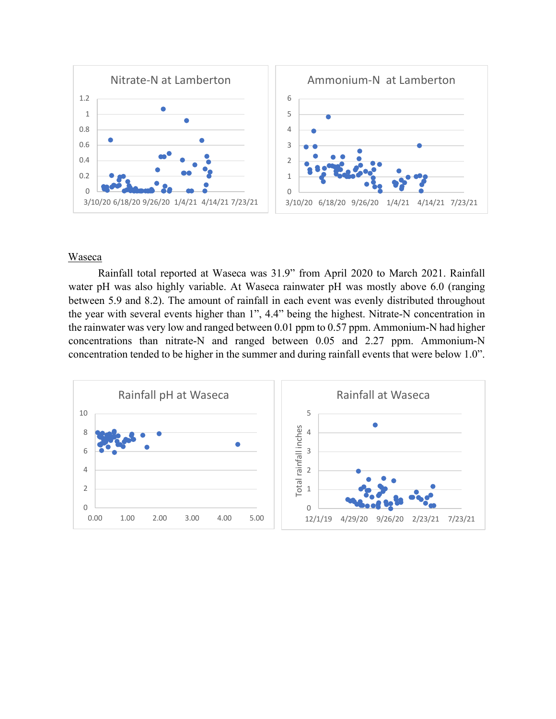

#### Waseca

Rainfall total reported at Waseca was 31.9" from April 2020 to March 2021. Rainfall water pH was also highly variable. At Waseca rainwater pH was mostly above 6.0 (ranging between 5.9 and 8.2). The amount of rainfall in each event was evenly distributed throughout the year with several events higher than 1", 4.4" being the highest. Nitrate-N concentration in the rainwater was very low and ranged between 0.01 ppm to 0.57 ppm. Ammonium-N had higher concentrations than nitrate-N and ranged between 0.05 and 2.27 ppm. Ammonium-N concentration tended to be higher in the summer and during rainfall events that were below 1.0".

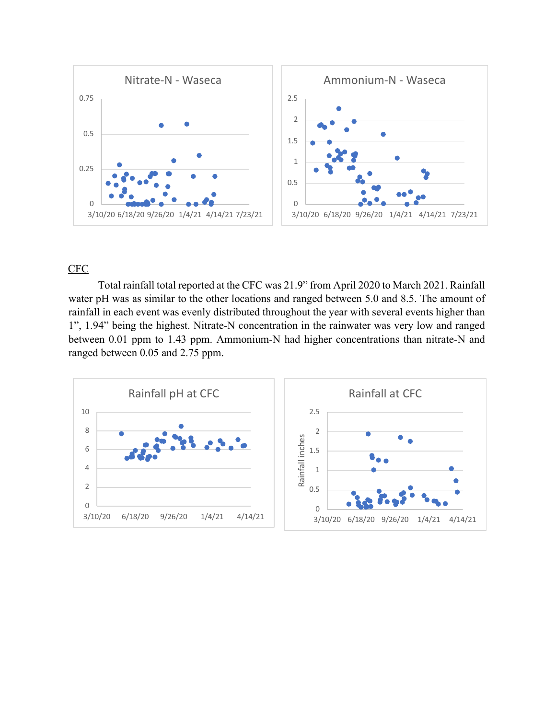

# CFC

Total rainfall total reported at the CFC was 21.9" from April 2020 to March 2021. Rainfall water pH was as similar to the other locations and ranged between 5.0 and 8.5. The amount of rainfall in each event was evenly distributed throughout the year with several events higher than 1", 1.94" being the highest. Nitrate-N concentration in the rainwater was very low and ranged between 0.01 ppm to 1.43 ppm. Ammonium-N had higher concentrations than nitrate-N and ranged between 0.05 and 2.75 ppm.

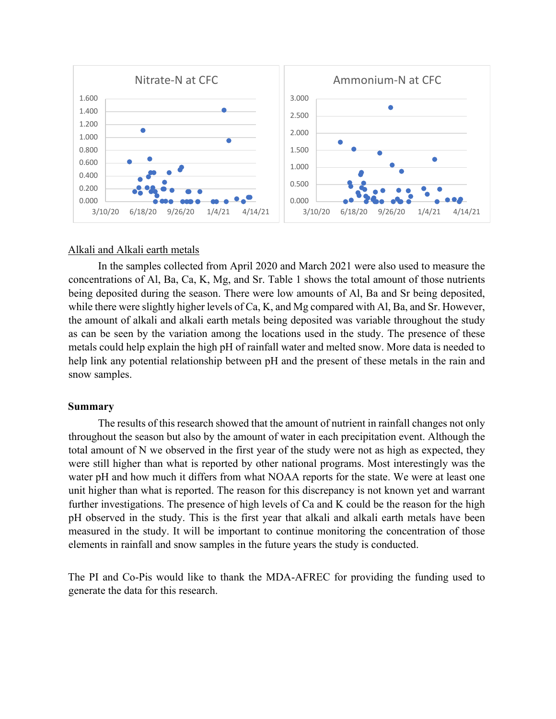

# Alkali and Alkali earth metals

In the samples collected from April 2020 and March 2021 were also used to measure the concentrations of Al, Ba, Ca, K, Mg, and Sr. Table 1 shows the total amount of those nutrients being deposited during the season. There were low amounts of Al, Ba and Sr being deposited, while there were slightly higher levels of Ca, K, and Mg compared with Al, Ba, and Sr. However, the amount of alkali and alkali earth metals being deposited was variable throughout the study as can be seen by the variation among the locations used in the study. The presence of these metals could help explain the high pH of rainfall water and melted snow. More data is needed to help link any potential relationship between pH and the present of these metals in the rain and snow samples.

#### **Summary**

The results of this research showed that the amount of nutrient in rainfall changes not only throughout the season but also by the amount of water in each precipitation event. Although the total amount of N we observed in the first year of the study were not as high as expected, they were still higher than what is reported by other national programs. Most interestingly was the water pH and how much it differs from what NOAA reports for the state. We were at least one unit higher than what is reported. The reason for this discrepancy is not known yet and warrant further investigations. The presence of high levels of Ca and K could be the reason for the high pH observed in the study. This is the first year that alkali and alkali earth metals have been measured in the study. It will be important to continue monitoring the concentration of those elements in rainfall and snow samples in the future years the study is conducted.

The PI and Co-Pis would like to thank the MDA-AFREC for providing the funding used to generate the data for this research.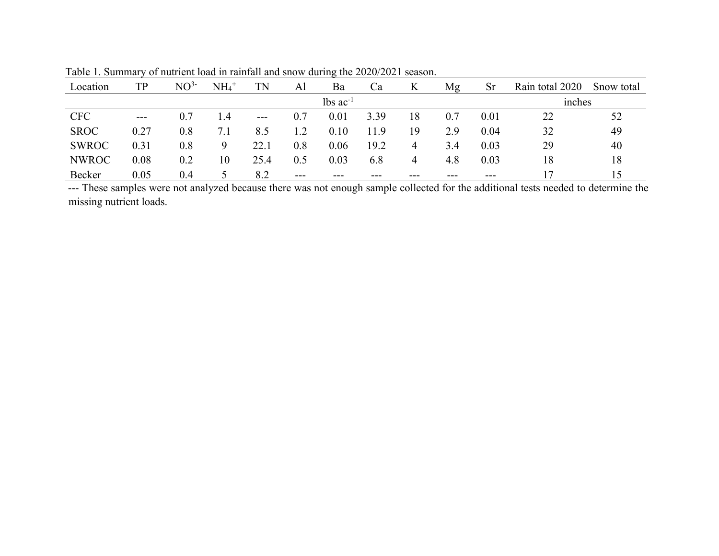| Location     | TP       | NO <sup>3</sup> | $NH_4$ <sup>+</sup> | TN    | Al    | Ba                     | Ca   | K    | Mg      | <b>Sr</b> | Rain total 2020 | Snow total |
|--------------|----------|-----------------|---------------------|-------|-------|------------------------|------|------|---------|-----------|-----------------|------------|
|              |          |                 |                     |       |       | $lbs$ ac <sup>-1</sup> |      |      |         |           | mches           |            |
| <b>CFC</b>   | $---$    | 0.7             | 1.4                 | $---$ | 0.7   | 0.01                   | 3.39 | 18   | 0.7     | 0.01      | 22              | 52         |
| <b>SROC</b>  | $0.27\,$ | $0.8\,$         | 7.1                 | 8.5   | 1.2   | 0.10                   | 11.9 | 19   | 2.9     | 0.04      | 32              | 49         |
| <b>SWROC</b> | 0.31     | $0.8\,$         | 9                   | 22.1  | 0.8   | 0.06                   | 19.2 | 4    | 3.4     | 0.03      | 29              | 40         |
| <b>NWROC</b> | 0.08     | 0.2             | 10                  | 25.4  | 0.5   | 0.03                   | 6.8  | 4    | 4.8     | 0.03      | 18              | 18         |
| Becker       | 0.05     | 0.4             |                     | 8.2   | $---$ | $- - -$                | ---  | $--$ | $- - -$ | $---$     |                 | 15         |

Table 1. Summary of nutrient load in rainfall and snow during the 2020/2021 season.

--- These samples were not analyzed because there was not enough sample collected for the additional tests needed to determine the missing nutrient loads.